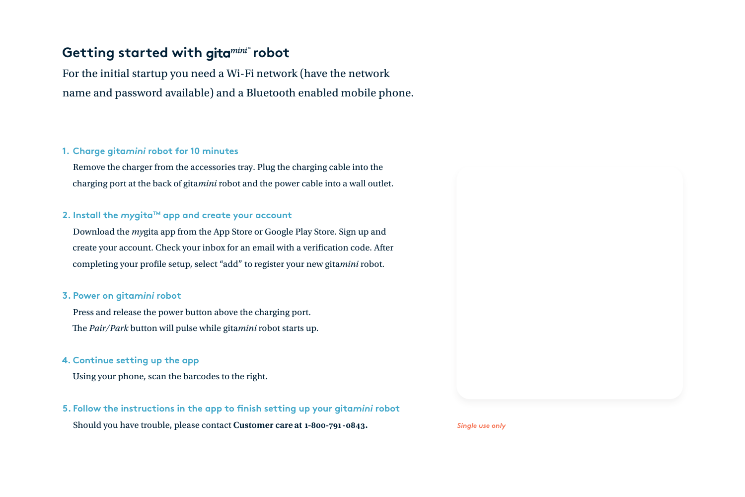# Getting started with gitamini<sup>+</sup> robot

For the initial startup you need a Wi-Fi network (have the network name and password available) and a Bluetooth enabled mobile phone.

## **Charge gita***mini* **robot for 10 minutes 1.**

Remove the charger from the accessories tray. Plug the charging cable into the charging port at the back of gita*mini* robot and the power cable into a wall outlet.

### **2.** Install the mygita™ app and create your account

Download the *my*gita app from the App Store or Google Play Store. Sign up and create your account. Check your inbox for an email with a verification code. After completing your profile setup, select "add" to register your new gita*mini* robot.

### **Power on gita***mini* **robot 3.**

Press and release the power button above the charging port. The *Pair/Park* button will pulse while gita*mini* robot starts up.

#### **Continue setting up the app 4.**

Using your phone, scan the barcodes to the right.

#### **Follow the instructions in the app to finish setting up your gita***mini* **robot 5.**

Should you have trouble, please contact **Customer care at 1-800-791-0843.**

*Single use only*